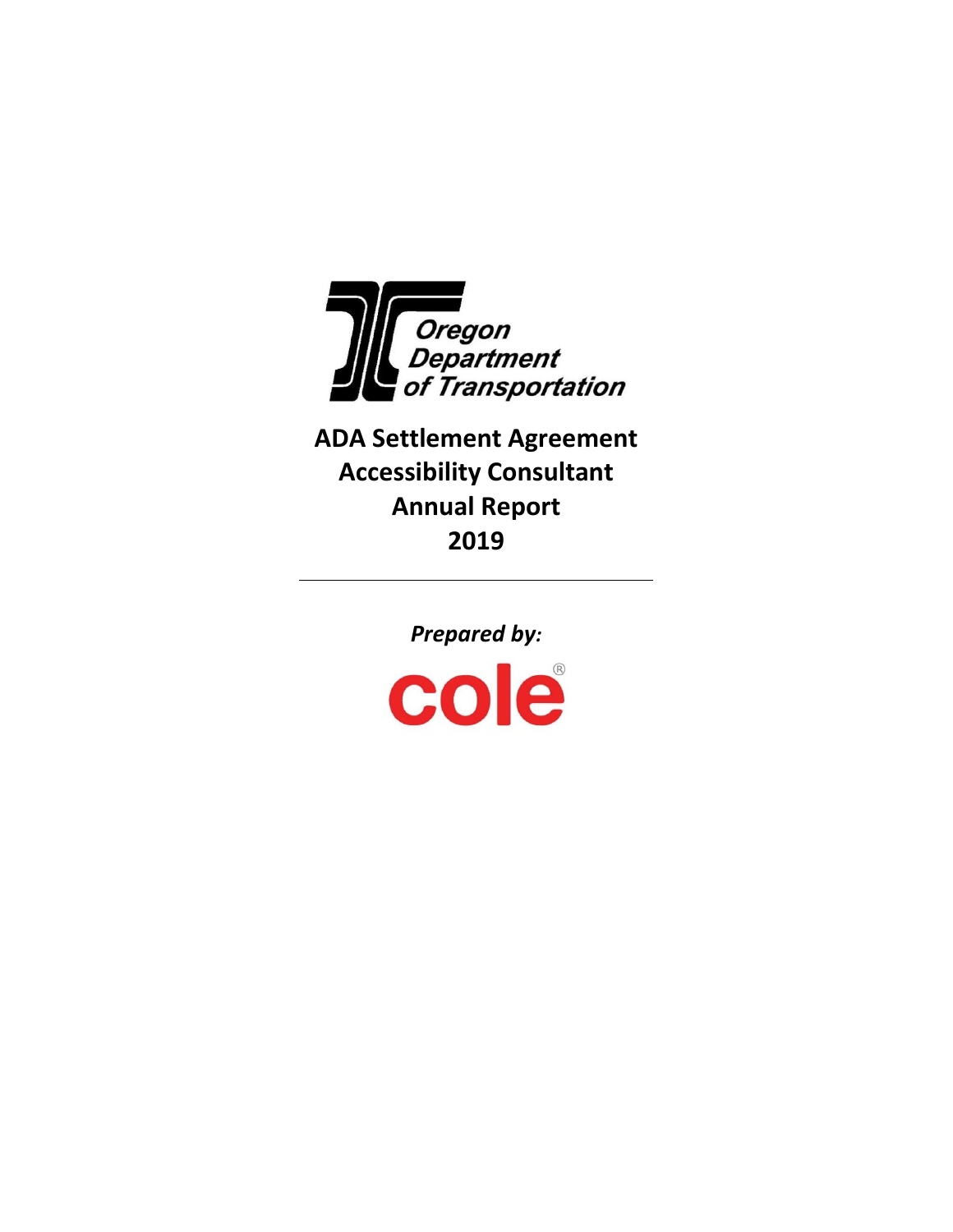

**ADA Settlement Agreement Accessibility Consultant Annual Report 2019**

Prepared by:<br> **COIC**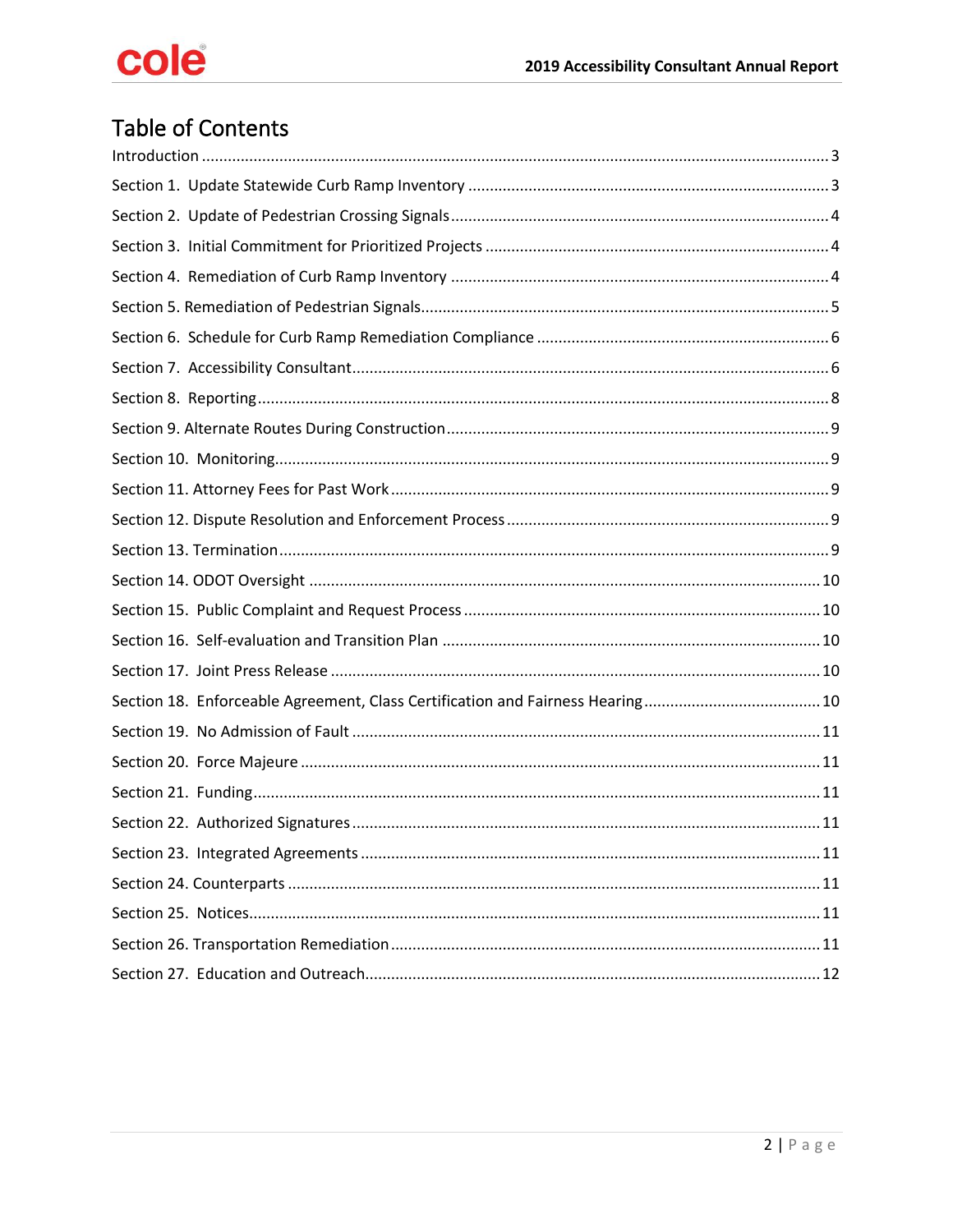# Table of Contents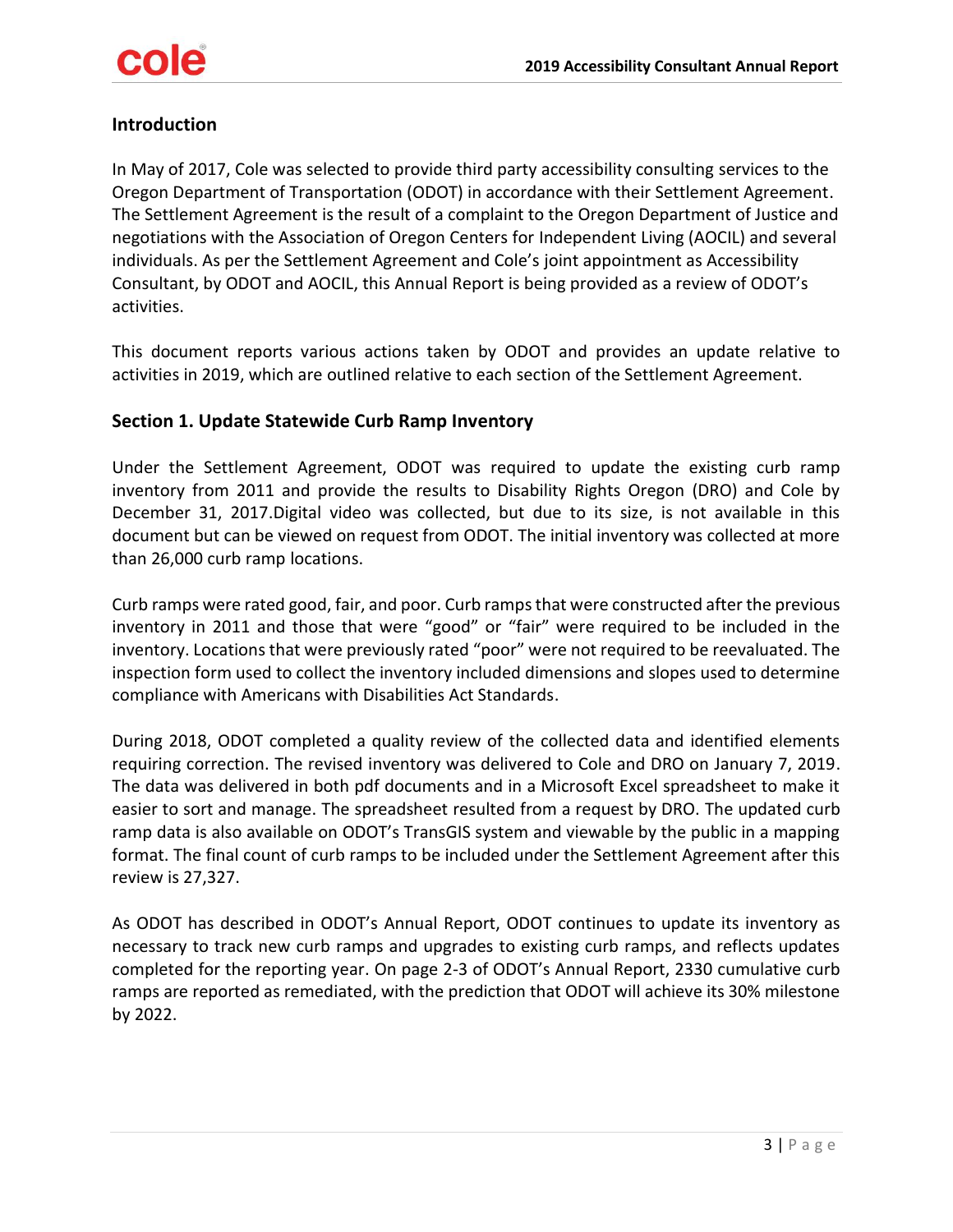

# <span id="page-2-0"></span>**Introduction**

In May of 2017, Cole was selected to provide third party accessibility consulting services to the Oregon Department of Transportation (ODOT) in accordance with their Settlement Agreement. The Settlement Agreement is the result of a complaint to the Oregon Department of Justice and negotiations with the Association of Oregon Centers for Independent Living (AOCIL) and several individuals. As per the Settlement Agreement and Cole's joint appointment as Accessibility Consultant, by ODOT and AOCIL, this Annual Report is being provided as a review of ODOT's activities.

This document reports various actions taken by ODOT and provides an update relative to activities in 2019, which are outlined relative to each section of the Settlement Agreement.

# <span id="page-2-1"></span>**Section 1. Update Statewide Curb Ramp Inventory**

Under the Settlement Agreement, ODOT was required to update the existing curb ramp inventory from 2011 and provide the results to Disability Rights Oregon (DRO) and Cole by December 31, 2017.Digital video was collected, but due to its size, is not available in this document but can be viewed on request from ODOT. The initial inventory was collected at more than 26,000 curb ramp locations.

Curb ramps were rated good, fair, and poor. Curb ramps that were constructed after the previous inventory in 2011 and those that were "good" or "fair" were required to be included in the inventory. Locations that were previously rated "poor" were not required to be reevaluated. The inspection form used to collect the inventory included dimensions and slopes used to determine compliance with Americans with Disabilities Act Standards.

During 2018, ODOT completed a quality review of the collected data and identified elements requiring correction. The revised inventory was delivered to Cole and DRO on January 7, 2019. The data was delivered in both pdf documents and in a Microsoft Excel spreadsheet to make it easier to sort and manage. The spreadsheet resulted from a request by DRO. The updated curb ramp data is also available on ODOT's TransGIS system and viewable by the public in a mapping format. The final count of curb ramps to be included under the Settlement Agreement after this review is 27,327.

As ODOT has described in ODOT's Annual Report, ODOT continues to update its inventory as necessary to track new curb ramps and upgrades to existing curb ramps, and reflects updates completed for the reporting year. On page 2-3 of ODOT's Annual Report, 2330 cumulative curb ramps are reported as remediated, with the prediction that ODOT will achieve its 30% milestone by 2022.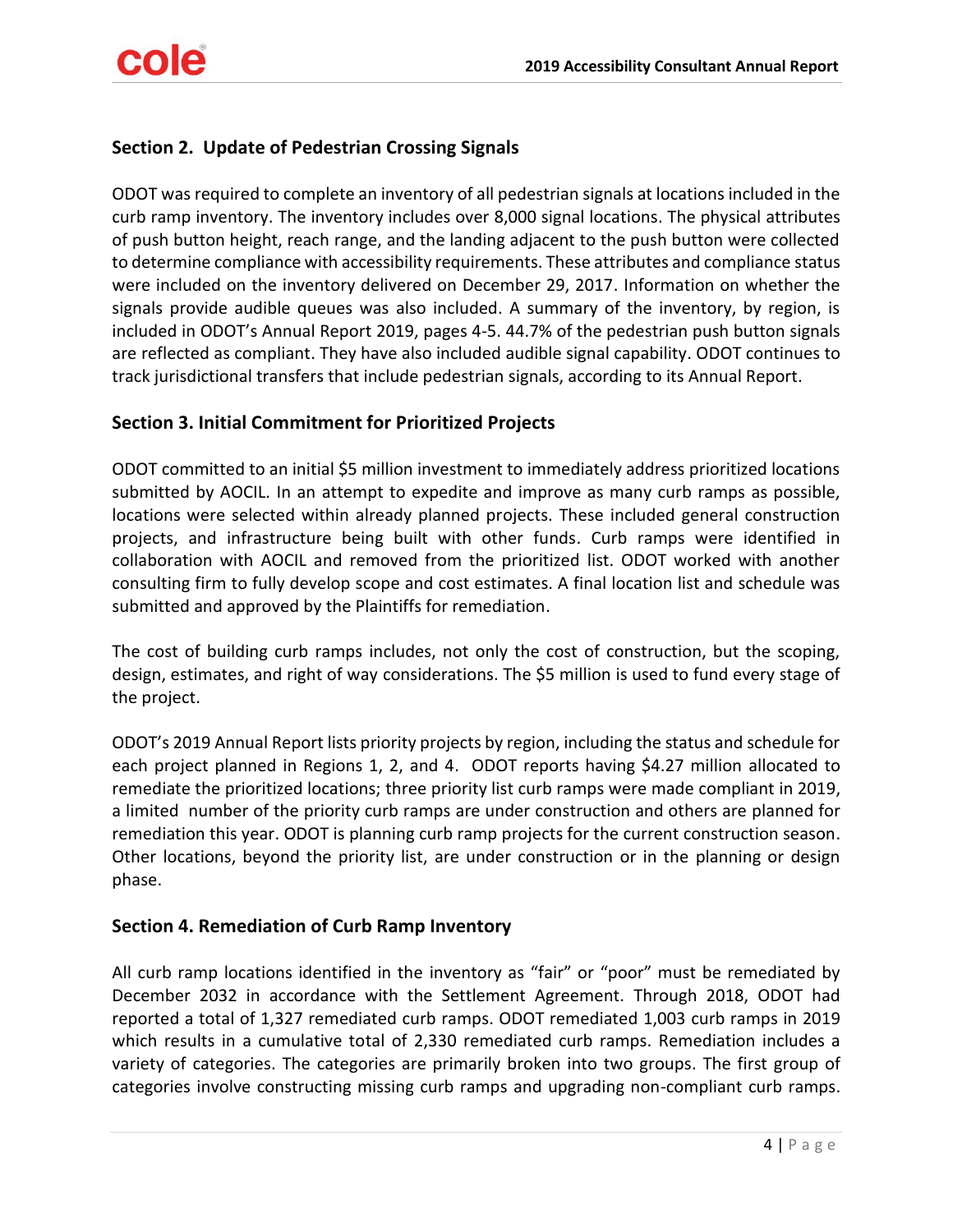# <span id="page-3-0"></span>**Section 2. Update of Pedestrian Crossing Signals**

ODOT was required to complete an inventory of all pedestrian signals at locations included in the curb ramp inventory. The inventory includes over 8,000 signal locations. The physical attributes of push button height, reach range, and the landing adjacent to the push button were collected to determine compliance with accessibility requirements. These attributes and compliance status were included on the inventory delivered on December 29, 2017. Information on whether the signals provide audible queues was also included. A summary of the inventory, by region, is included in ODOT's Annual Report 2019, pages 4-5. 44.7% of the pedestrian push button signals are reflected as compliant. They have also included audible signal capability. ODOT continues to track jurisdictional transfers that include pedestrian signals, according to its Annual Report.

# <span id="page-3-1"></span>**Section 3. Initial Commitment for Prioritized Projects**

ODOT committed to an initial \$5 million investment to immediately address prioritized locations submitted by AOCIL. In an attempt to expedite and improve as many curb ramps as possible, locations were selected within already planned projects. These included general construction projects, and infrastructure being built with other funds. Curb ramps were identified in collaboration with AOCIL and removed from the prioritized list. ODOT worked with another consulting firm to fully develop scope and cost estimates. A final location list and schedule was submitted and approved by the Plaintiffs for remediation.

The cost of building curb ramps includes, not only the cost of construction, but the scoping, design, estimates, and right of way considerations. The \$5 million is used to fund every stage of the project.

ODOT's 2019 Annual Report lists priority projects by region, including the status and schedule for each project planned in Regions 1, 2, and 4. ODOT reports having \$4.27 million allocated to remediate the prioritized locations; three priority list curb ramps were made compliant in 2019, a limited number of the priority curb ramps are under construction and others are planned for remediation this year. ODOT is planning curb ramp projects for the current construction season. Other locations, beyond the priority list, are under construction or in the planning or design phase.

# <span id="page-3-2"></span>**Section 4. Remediation of Curb Ramp Inventory**

All curb ramp locations identified in the inventory as "fair" or "poor" must be remediated by December 2032 in accordance with the Settlement Agreement. Through 2018, ODOT had reported a total of 1,327 remediated curb ramps. ODOT remediated 1,003 curb ramps in 2019 which results in a cumulative total of 2,330 remediated curb ramps. Remediation includes a variety of categories. The categories are primarily broken into two groups. The first group of categories involve constructing missing curb ramps and upgrading non-compliant curb ramps.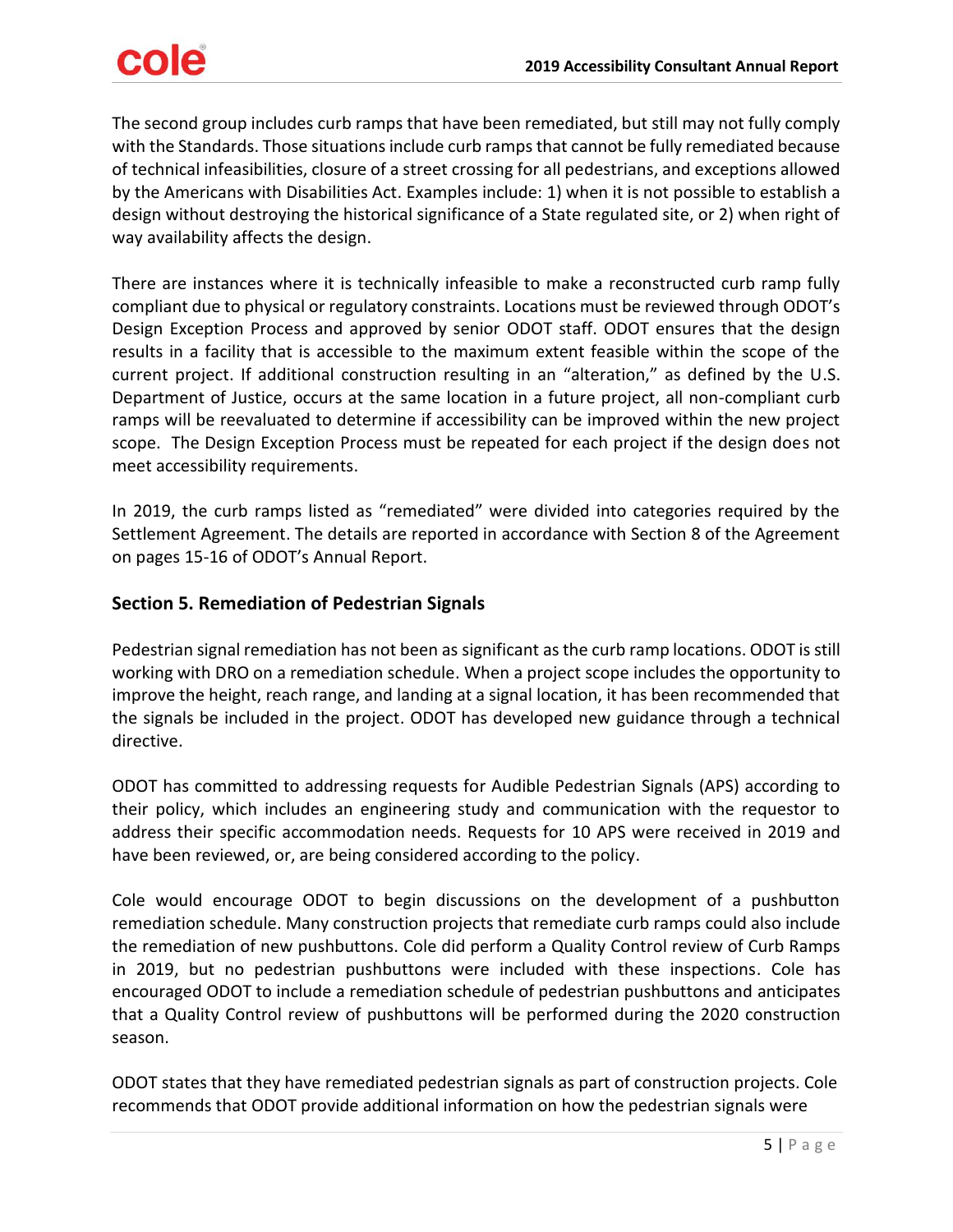# cole

The second group includes curb ramps that have been remediated, but still may not fully comply with the Standards. Those situations include curb ramps that cannot be fully remediated because of technical infeasibilities, closure of a street crossing for all pedestrians, and exceptions allowed by the Americans with Disabilities Act. Examples include: 1) when it is not possible to establish a design without destroying the historical significance of a State regulated site, or 2) when right of way availability affects the design.

There are instances where it is technically infeasible to make a reconstructed curb ramp fully compliant due to physical or regulatory constraints. Locations must be reviewed through ODOT's Design Exception Process and approved by senior ODOT staff. ODOT ensures that the design results in a facility that is accessible to the maximum extent feasible within the scope of the current project. If additional construction resulting in an "alteration," as defined by the U.S. Department of Justice, occurs at the same location in a future project, all non-compliant curb ramps will be reevaluated to determine if accessibility can be improved within the new project scope. The Design Exception Process must be repeated for each project if the design does not meet accessibility requirements.

In 2019, the curb ramps listed as "remediated" were divided into categories required by the Settlement Agreement. The details are reported in accordance with Section 8 of the Agreement on pages 15-16 of ODOT's Annual Report.

# <span id="page-4-0"></span>**Section 5. Remediation of Pedestrian Signals**

Pedestrian signal remediation has not been as significant as the curb ramp locations. ODOT is still working with DRO on a remediation schedule. When a project scope includes the opportunity to improve the height, reach range, and landing at a signal location, it has been recommended that the signals be included in the project. ODOT has developed new guidance through a technical directive.

ODOT has committed to addressing requests for Audible Pedestrian Signals (APS) according to their policy, which includes an engineering study and communication with the requestor to address their specific accommodation needs. Requests for 10 APS were received in 2019 and have been reviewed, or, are being considered according to the policy.

Cole would encourage ODOT to begin discussions on the development of a pushbutton remediation schedule. Many construction projects that remediate curb ramps could also include the remediation of new pushbuttons. Cole did perform a Quality Control review of Curb Ramps in 2019, but no pedestrian pushbuttons were included with these inspections. Cole has encouraged ODOT to include a remediation schedule of pedestrian pushbuttons and anticipates that a Quality Control review of pushbuttons will be performed during the 2020 construction season.

ODOT states that they have remediated pedestrian signals as part of construction projects. Cole recommends that ODOT provide additional information on how the pedestrian signals were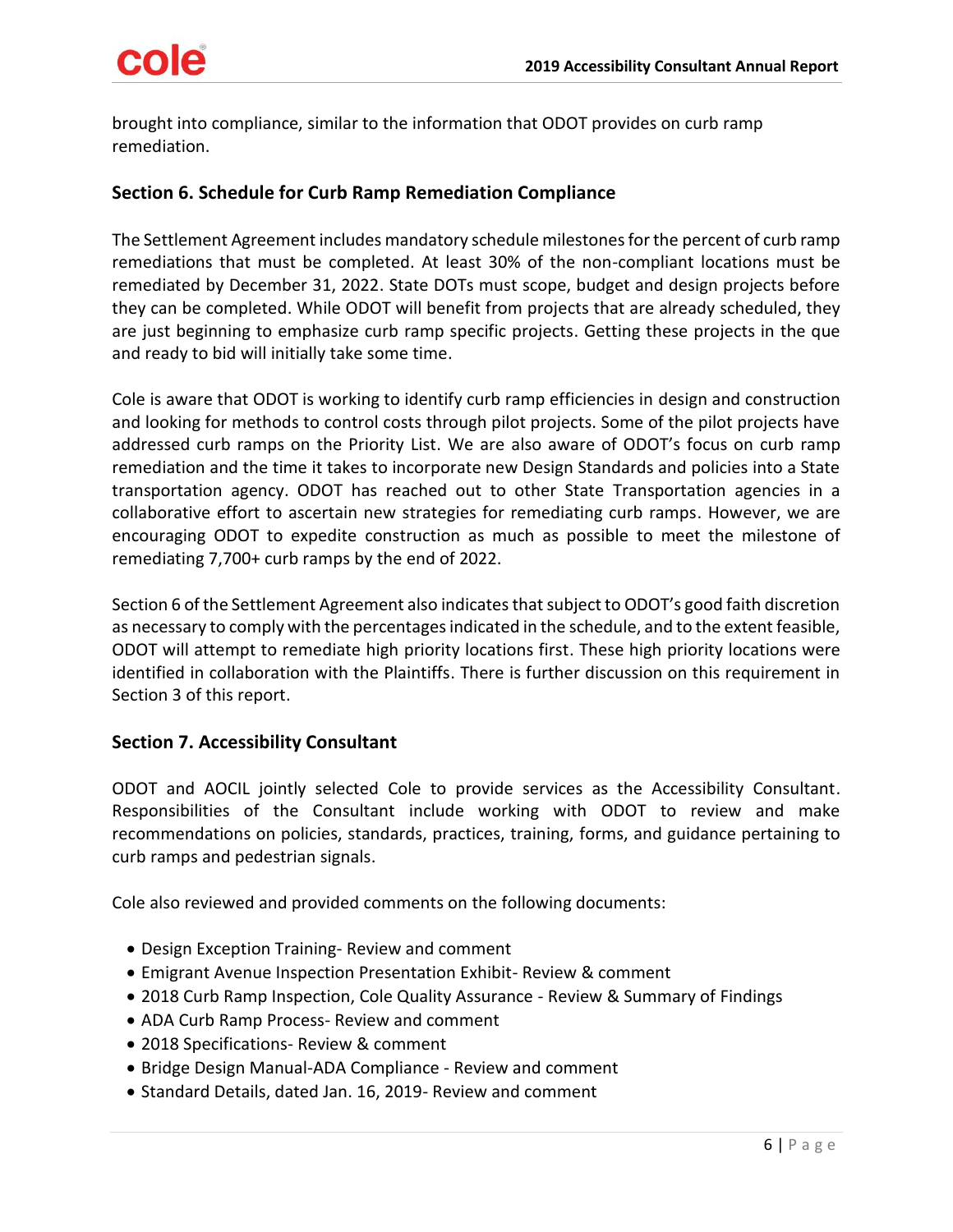brought into compliance, similar to the information that ODOT provides on curb ramp remediation.

# <span id="page-5-0"></span>**Section 6. Schedule for Curb Ramp Remediation Compliance**

The Settlement Agreement includes mandatory schedule milestones for the percent of curb ramp remediations that must be completed. At least 30% of the non-compliant locations must be remediated by December 31, 2022. State DOTs must scope, budget and design projects before they can be completed. While ODOT will benefit from projects that are already scheduled, they are just beginning to emphasize curb ramp specific projects. Getting these projects in the que and ready to bid will initially take some time.

Cole is aware that ODOT is working to identify curb ramp efficiencies in design and construction and looking for methods to control costs through pilot projects. Some of the pilot projects have addressed curb ramps on the Priority List. We are also aware of ODOT's focus on curb ramp remediation and the time it takes to incorporate new Design Standards and policies into a State transportation agency. ODOT has reached out to other State Transportation agencies in a collaborative effort to ascertain new strategies for remediating curb ramps. However, we are encouraging ODOT to expedite construction as much as possible to meet the milestone of remediating 7,700+ curb ramps by the end of 2022.

Section 6 of the Settlement Agreement also indicates that subject to ODOT's good faith discretion as necessary to comply with the percentages indicated in the schedule, and to the extent feasible, ODOT will attempt to remediate high priority locations first. These high priority locations were identified in collaboration with the Plaintiffs. There is further discussion on this requirement in Section 3 of this report.

# <span id="page-5-1"></span>**Section 7. Accessibility Consultant**

ODOT and AOCIL jointly selected Cole to provide services as the Accessibility Consultant. Responsibilities of the Consultant include working with ODOT to review and make recommendations on policies, standards, practices, training, forms, and guidance pertaining to curb ramps and pedestrian signals.

Cole also reviewed and provided comments on the following documents:

- Design Exception Training- Review and comment
- Emigrant Avenue Inspection Presentation Exhibit- Review & comment
- 2018 Curb Ramp Inspection, Cole Quality Assurance Review & Summary of Findings
- ADA Curb Ramp Process- Review and comment
- 2018 Specifications- Review & comment
- Bridge Design Manual-ADA Compliance Review and comment
- Standard Details, dated Jan. 16, 2019- Review and comment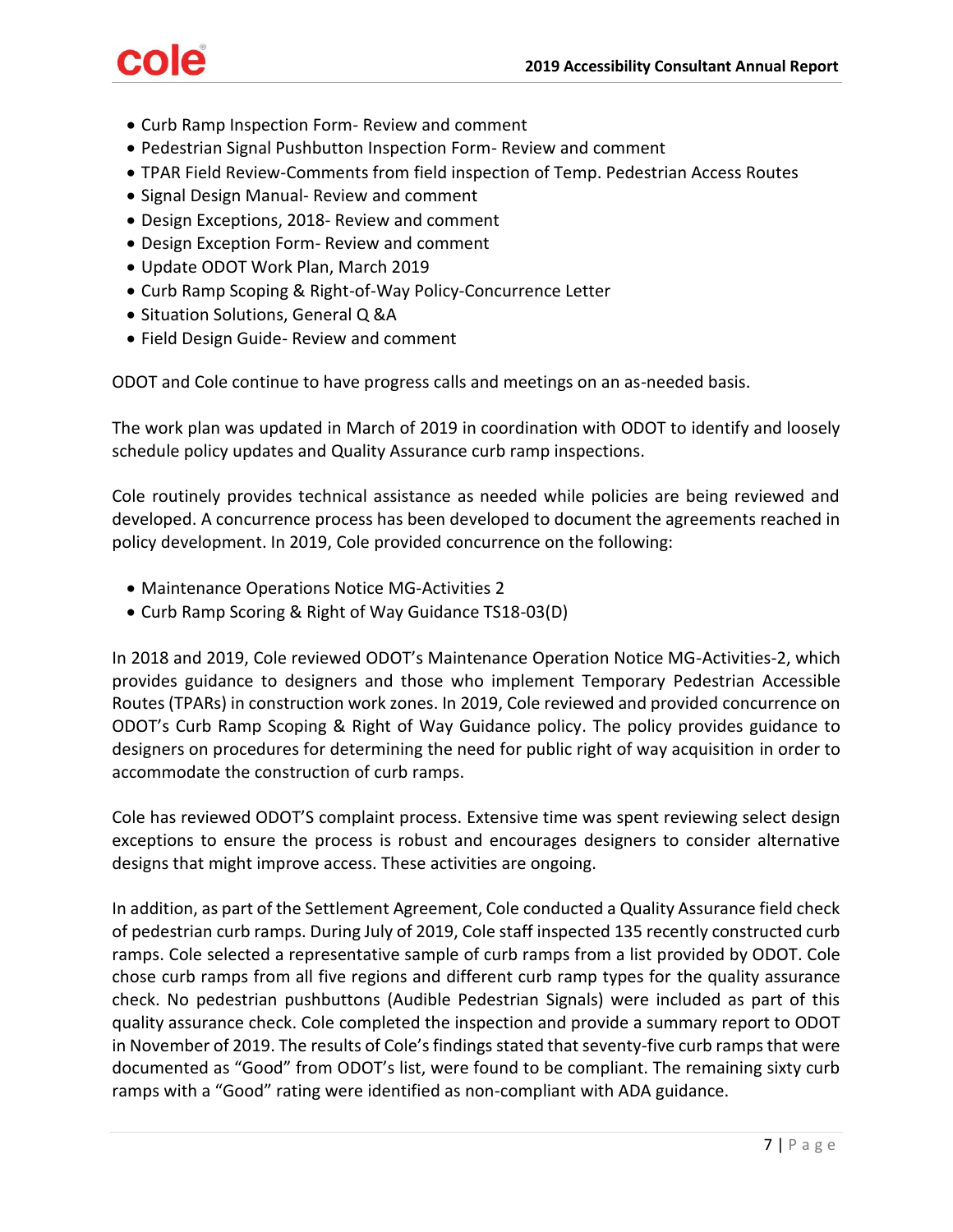# cole

- Curb Ramp Inspection Form- Review and comment
- Pedestrian Signal Pushbutton Inspection Form- Review and comment
- TPAR Field Review-Comments from field inspection of Temp. Pedestrian Access Routes
- Signal Design Manual- Review and comment
- Design Exceptions, 2018- Review and comment
- Design Exception Form- Review and comment
- Update ODOT Work Plan, March 2019
- Curb Ramp Scoping & Right-of-Way Policy-Concurrence Letter
- Situation Solutions, General Q &A
- Field Design Guide- Review and comment

ODOT and Cole continue to have progress calls and meetings on an as-needed basis.

The work plan was updated in March of 2019 in coordination with ODOT to identify and loosely schedule policy updates and Quality Assurance curb ramp inspections.

Cole routinely provides technical assistance as needed while policies are being reviewed and developed. A concurrence process has been developed to document the agreements reached in policy development. In 2019, Cole provided concurrence on the following:

- Maintenance Operations Notice MG-Activities 2
- Curb Ramp Scoring & Right of Way Guidance TS18-03(D)

In 2018 and 2019, Cole reviewed ODOT's Maintenance Operation Notice MG-Activities-2, which provides guidance to designers and those who implement Temporary Pedestrian Accessible Routes (TPARs) in construction work zones. In 2019, Cole reviewed and provided concurrence on ODOT's Curb Ramp Scoping & Right of Way Guidance policy. The policy provides guidance to designers on procedures for determining the need for public right of way acquisition in order to accommodate the construction of curb ramps.

Cole has reviewed ODOT'S complaint process. Extensive time was spent reviewing select design exceptions to ensure the process is robust and encourages designers to consider alternative designs that might improve access. These activities are ongoing.

In addition, as part of the Settlement Agreement, Cole conducted a Quality Assurance field check of pedestrian curb ramps. During July of 2019, Cole staff inspected 135 recently constructed curb ramps. Cole selected a representative sample of curb ramps from a list provided by ODOT. Cole chose curb ramps from all five regions and different curb ramp types for the quality assurance check. No pedestrian pushbuttons (Audible Pedestrian Signals) were included as part of this quality assurance check. Cole completed the inspection and provide a summary report to ODOT in November of 2019. The results of Cole's findings stated that seventy-five curb ramps that were documented as "Good" from ODOT's list, were found to be compliant. The remaining sixty curb ramps with a "Good" rating were identified as non-compliant with ADA guidance.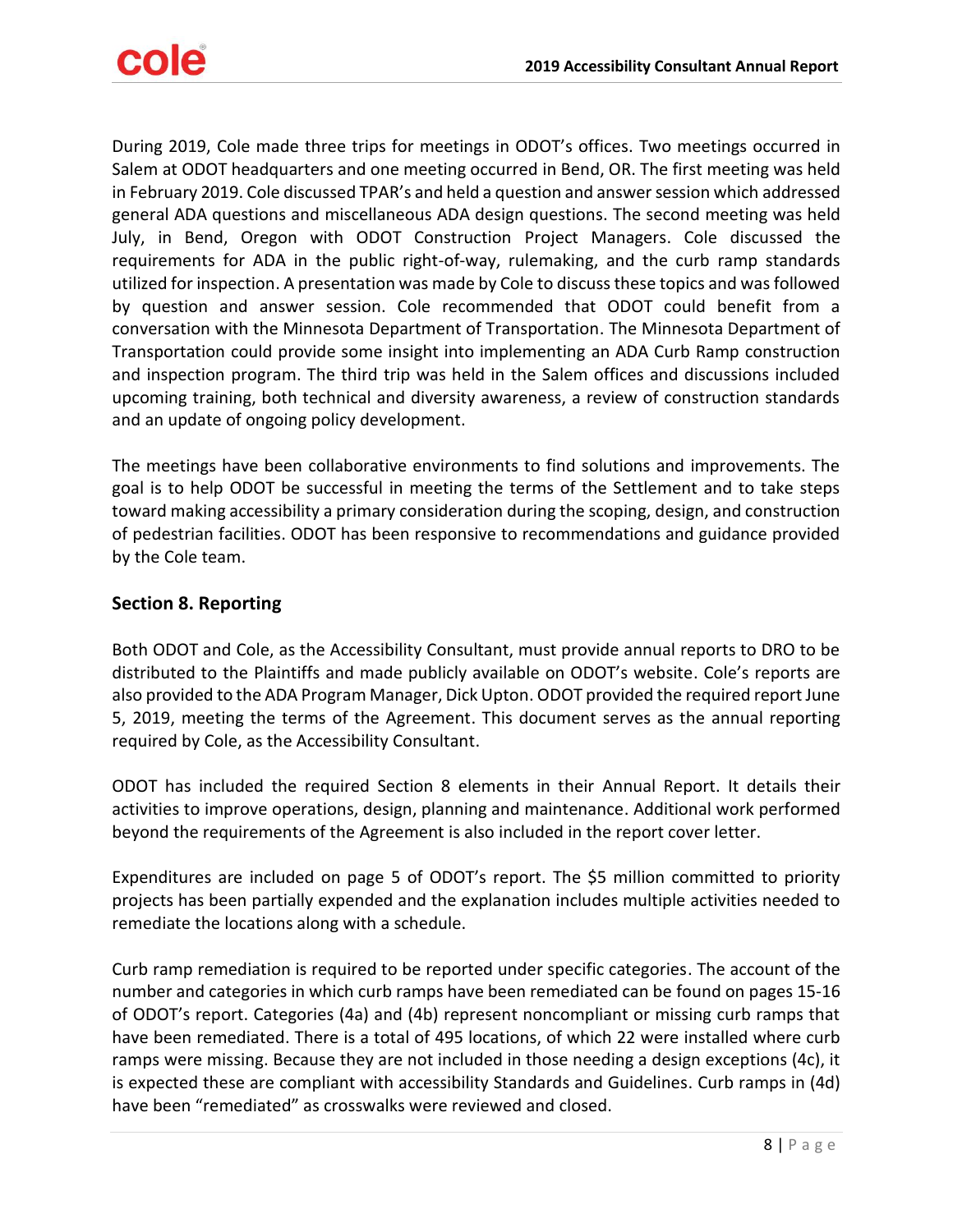

During 2019, Cole made three trips for meetings in ODOT's offices. Two meetings occurred in Salem at ODOT headquarters and one meeting occurred in Bend, OR. The first meeting was held in February 2019. Cole discussed TPAR's and held a question and answer session which addressed general ADA questions and miscellaneous ADA design questions. The second meeting was held July, in Bend, Oregon with ODOT Construction Project Managers. Cole discussed the requirements for ADA in the public right-of-way, rulemaking, and the curb ramp standards utilized for inspection. A presentation was made by Cole to discuss these topics and was followed by question and answer session. Cole recommended that ODOT could benefit from a conversation with the Minnesota Department of Transportation. The Minnesota Department of Transportation could provide some insight into implementing an ADA Curb Ramp construction and inspection program. The third trip was held in the Salem offices and discussions included upcoming training, both technical and diversity awareness, a review of construction standards and an update of ongoing policy development.

The meetings have been collaborative environments to find solutions and improvements. The goal is to help ODOT be successful in meeting the terms of the Settlement and to take steps toward making accessibility a primary consideration during the scoping, design, and construction of pedestrian facilities. ODOT has been responsive to recommendations and guidance provided by the Cole team.

# <span id="page-7-0"></span>**Section 8. Reporting**

Both ODOT and Cole, as the Accessibility Consultant, must provide annual reports to DRO to be distributed to the Plaintiffs and made publicly available on ODOT's website. Cole's reports are also provided to the ADA Program Manager, Dick Upton. ODOT provided the required report June 5, 2019, meeting the terms of the Agreement. This document serves as the annual reporting required by Cole, as the Accessibility Consultant.

ODOT has included the required Section 8 elements in their Annual Report. It details their activities to improve operations, design, planning and maintenance. Additional work performed beyond the requirements of the Agreement is also included in the report cover letter.

Expenditures are included on page 5 of ODOT's report. The \$5 million committed to priority projects has been partially expended and the explanation includes multiple activities needed to remediate the locations along with a schedule.

Curb ramp remediation is required to be reported under specific categories. The account of the number and categories in which curb ramps have been remediated can be found on pages 15-16 of ODOT's report. Categories (4a) and (4b) represent noncompliant or missing curb ramps that have been remediated. There is a total of 495 locations, of which 22 were installed where curb ramps were missing. Because they are not included in those needing a design exceptions (4c), it is expected these are compliant with accessibility Standards and Guidelines. Curb ramps in (4d) have been "remediated" as crosswalks were reviewed and closed.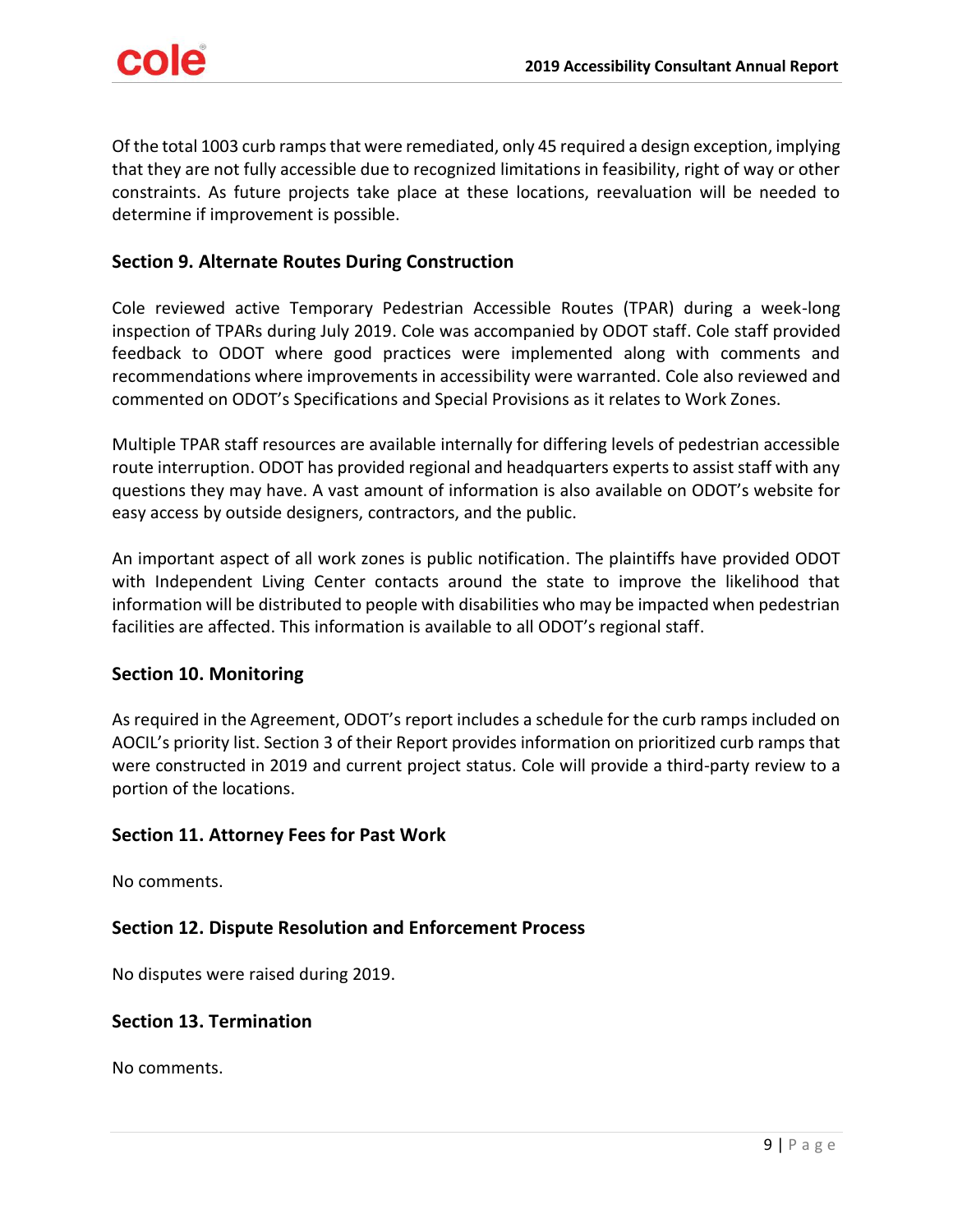Of the total 1003 curb ramps that were remediated, only 45 required a design exception, implying that they are not fully accessible due to recognized limitations in feasibility, right of way or other constraints. As future projects take place at these locations, reevaluation will be needed to determine if improvement is possible.

### <span id="page-8-0"></span>**Section 9. Alternate Routes During Construction**

Cole reviewed active Temporary Pedestrian Accessible Routes (TPAR) during a week-long inspection of TPARs during July 2019. Cole was accompanied by ODOT staff. Cole staff provided feedback to ODOT where good practices were implemented along with comments and recommendations where improvements in accessibility were warranted. Cole also reviewed and commented on ODOT's Specifications and Special Provisions as it relates to Work Zones.

Multiple TPAR staff resources are available internally for differing levels of pedestrian accessible route interruption. ODOT has provided regional and headquarters experts to assist staff with any questions they may have. A vast amount of information is also available on ODOT's website for easy access by outside designers, contractors, and the public.

An important aspect of all work zones is public notification. The plaintiffs have provided ODOT with Independent Living Center contacts around the state to improve the likelihood that information will be distributed to people with disabilities who may be impacted when pedestrian facilities are affected. This information is available to all ODOT's regional staff.

#### <span id="page-8-1"></span>**Section 10. Monitoring**

As required in the Agreement, ODOT's report includes a schedule for the curb ramps included on AOCIL's priority list. Section 3 of their Report provides information on prioritized curb ramps that were constructed in 2019 and current project status. Cole will provide a third-party review to a portion of the locations.

#### <span id="page-8-2"></span>**Section 11. Attorney Fees for Past Work**

No comments.

### <span id="page-8-3"></span>**Section 12. Dispute Resolution and Enforcement Process**

No disputes were raised during 2019.

#### <span id="page-8-4"></span>**Section 13. Termination**

No comments.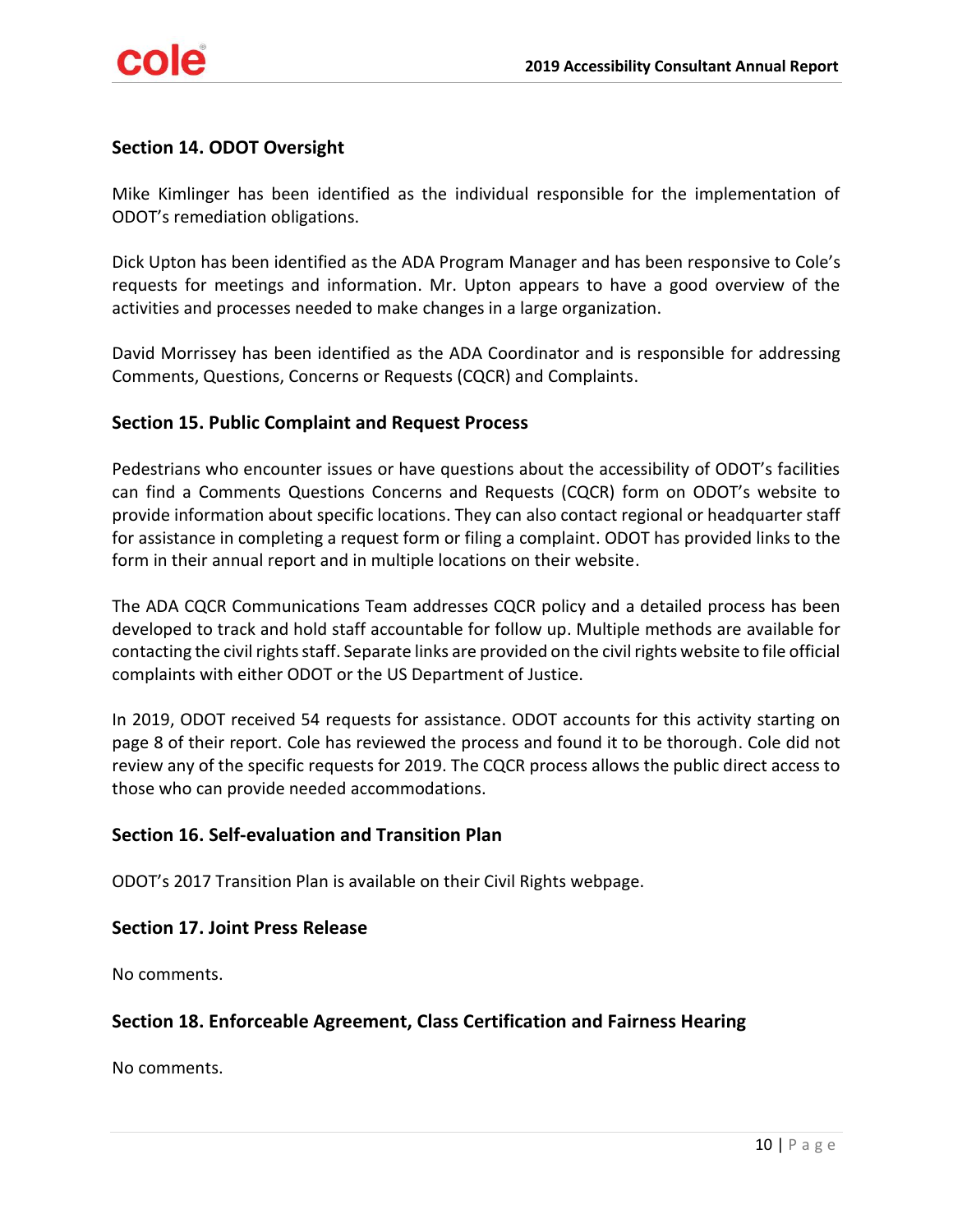# <span id="page-9-0"></span>**Section 14. ODOT Oversight**

Mike Kimlinger has been identified as the individual responsible for the implementation of ODOT's remediation obligations.

Dick Upton has been identified as the ADA Program Manager and has been responsive to Cole's requests for meetings and information. Mr. Upton appears to have a good overview of the activities and processes needed to make changes in a large organization.

David Morrissey has been identified as the ADA Coordinator and is responsible for addressing Comments, Questions, Concerns or Requests (CQCR) and Complaints.

### <span id="page-9-1"></span>**Section 15. Public Complaint and Request Process**

Pedestrians who encounter issues or have questions about the accessibility of ODOT's facilities can find a Comments Questions Concerns and Requests (CQCR) form on ODOT's website to provide information about specific locations. They can also contact regional or headquarter staff for assistance in completing a request form or filing a complaint. ODOT has provided links to the form in their annual report and in multiple locations on their website.

The ADA CQCR Communications Team addresses CQCR policy and a detailed process has been developed to track and hold staff accountable for follow up. Multiple methods are available for contacting the civil rights staff. Separate links are provided on the civil rights website to file official complaints with either ODOT or the US Department of Justice.

In 2019, ODOT received 54 requests for assistance. ODOT accounts for this activity starting on page 8 of their report. Cole has reviewed the process and found it to be thorough. Cole did not review any of the specific requests for 2019. The CQCR process allows the public direct access to those who can provide needed accommodations.

#### <span id="page-9-2"></span>**Section 16. Self-evaluation and Transition Plan**

ODOT's 2017 Transition Plan is available on their Civil Rights webpage.

#### <span id="page-9-3"></span>**Section 17. Joint Press Release**

No comments.

# <span id="page-9-4"></span>**Section 18. Enforceable Agreement, Class Certification and Fairness Hearing**

No comments.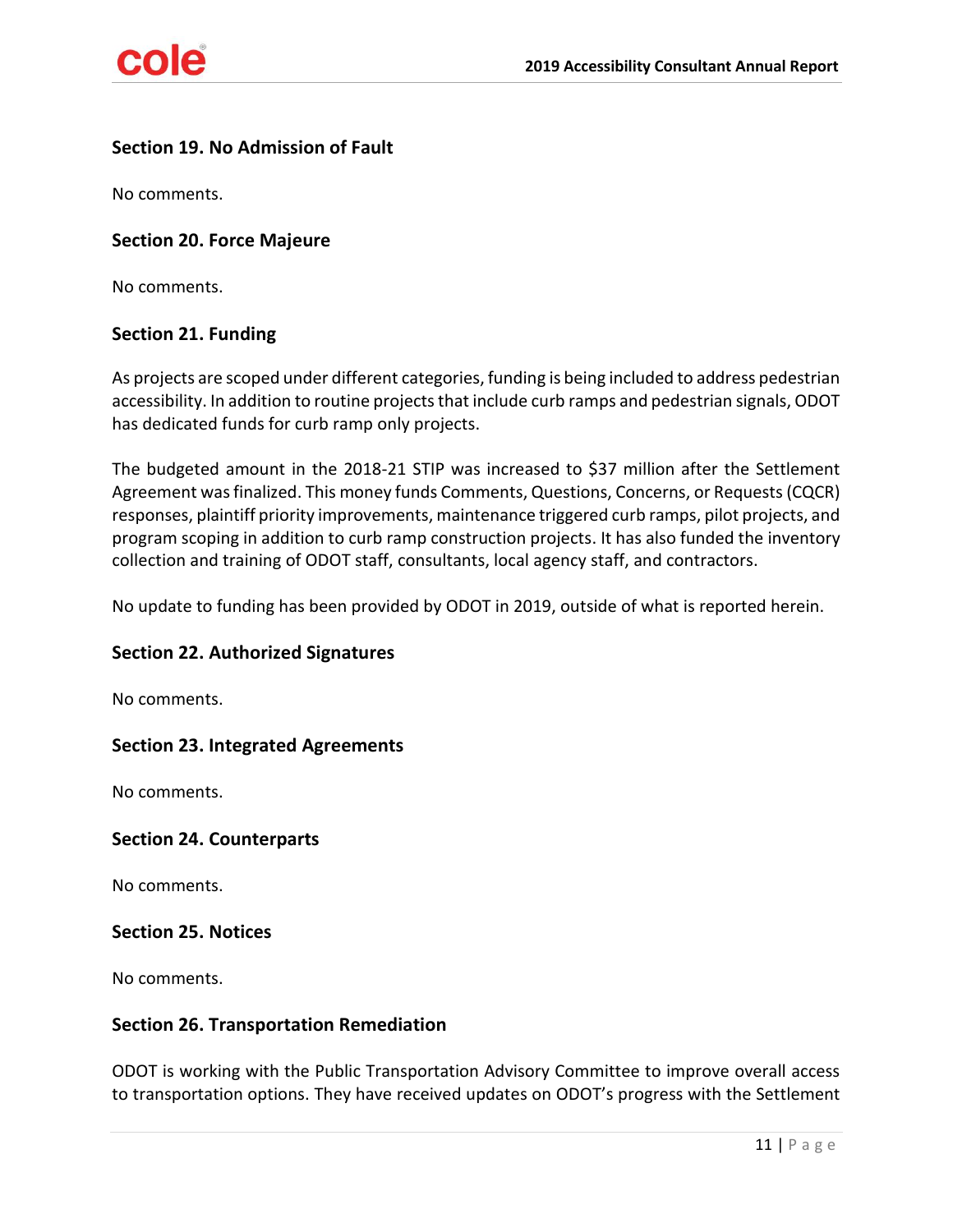# <span id="page-10-0"></span>**Section 19. No Admission of Fault**

No comments.

#### <span id="page-10-1"></span>**Section 20. Force Majeure**

No comments.

### <span id="page-10-2"></span>**Section 21. Funding**

As projects are scoped under different categories, funding is being included to address pedestrian accessibility. In addition to routine projects that include curb ramps and pedestrian signals, ODOT has dedicated funds for curb ramp only projects.

The budgeted amount in the 2018-21 STIP was increased to \$37 million after the Settlement Agreement was finalized. This money funds Comments, Questions, Concerns, or Requests (CQCR) responses, plaintiff priority improvements, maintenance triggered curb ramps, pilot projects, and program scoping in addition to curb ramp construction projects. It has also funded the inventory collection and training of ODOT staff, consultants, local agency staff, and contractors.

No update to funding has been provided by ODOT in 2019, outside of what is reported herein.

#### <span id="page-10-3"></span>**Section 22. Authorized Signatures**

No comments.

#### <span id="page-10-4"></span>**Section 23. Integrated Agreements**

No comments.

#### <span id="page-10-5"></span>**Section 24. Counterparts**

No comments.

#### <span id="page-10-6"></span>**Section 25. Notices**

No comments.

#### <span id="page-10-7"></span>**Section 26. Transportation Remediation**

ODOT is working with the Public Transportation Advisory Committee to improve overall access to transportation options. They have received updates on ODOT's progress with the Settlement